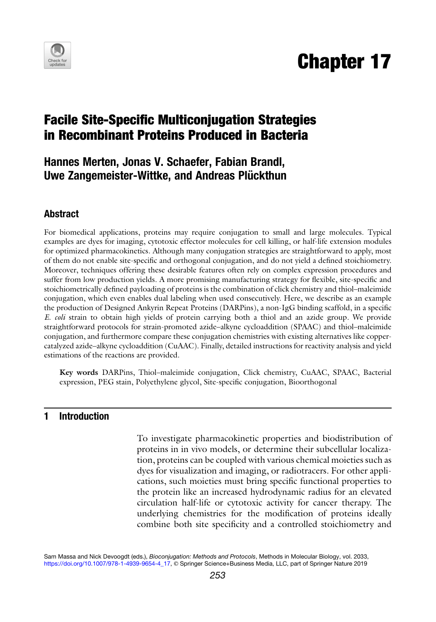

# Chapter 17

## Facile Site-Specific Multiconjugation Strategies in Recombinant Proteins Produced in Bacteria

## Hannes Merten, Jonas V. Schaefer, Fabian Brandl, Uwe Zangemeister-Wittke, and Andreas Plückthun

#### Abstract

For biomedical applications, proteins may require conjugation to small and large molecules. Typical examples are dyes for imaging, cytotoxic effector molecules for cell killing, or half-life extension modules for optimized pharmacokinetics. Although many conjugation strategies are straightforward to apply, most of them do not enable site-specific and orthogonal conjugation, and do not yield a defined stoichiometry. Moreover, techniques offering these desirable features often rely on complex expression procedures and suffer from low production yields. A more promising manufacturing strategy for flexible, site-specific and stoichiometrically defined payloading of proteins is the combination of click chemistry and thiol–maleimide conjugation, which even enables dual labeling when used consecutively. Here, we describe as an example the production of Designed Ankyrin Repeat Proteins (DARPins), a non-IgG binding scaffold, in a specific E. coli strain to obtain high yields of protein carrying both a thiol and an azide group. We provide straightforward protocols for strain-promoted azide–alkyne cycloaddition (SPAAC) and thiol–maleimide conjugation, and furthermore compare these conjugation chemistries with existing alternatives like coppercatalyzed azide–alkyne cycloaddition (CuAAC). Finally, detailed instructions for reactivity analysis and yield estimations of the reactions are provided.

Key words DARPins, Thiol–maleimide conjugation, Click chemistry, CuAAC, SPAAC, Bacterial expression, PEG stain, Polyethylene glycol, Site-specific conjugation, Bioorthogonal

#### 1 Introduction

To investigate pharmacokinetic properties and biodistribution of proteins in in vivo models, or determine their subcellular localization, proteins can be coupled with various chemical moieties such as dyes for visualization and imaging, or radiotracers. For other applications, such moieties must bring specific functional properties to the protein like an increased hydrodynamic radius for an elevated circulation half-life or cytotoxic activity for cancer therapy. The underlying chemistries for the modification of proteins ideally combine both site specificity and a controlled stoichiometry and

Sam Massa and Nick Devoogdt (eds.), Bioconjugation: Methods and Protocols, Methods in Molecular Biology, vol. 2033, https://doi.org/10.1007/978-1-4939-9654-4\_17, © Springer Science+Business Media, LLC, part of Springer Nature 2019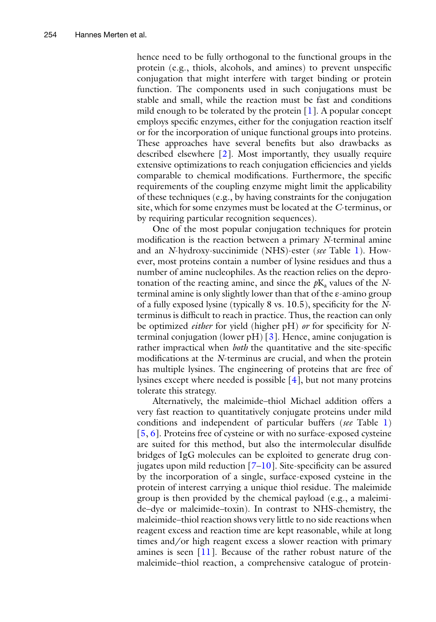hence need to be fully orthogonal to the functional groups in the protein (e.g., thiols, alcohols, and amines) to prevent unspecific conjugation that might interfere with target binding or protein function. The components used in such conjugations must be stable and small, while the reaction must be fast and conditions mild enough to be tolerated by the protein  $[1]$ . A popular concept employs specific enzymes, either for the conjugation reaction itself or for the incorporation of unique functional groups into proteins. These approaches have several benefits but also drawbacks as described elsewhere [2]. Most importantly, they usually require extensive optimizations to reach conjugation efficiencies and yields comparable to chemical modifications. Furthermore, the specific requirements of the coupling enzyme might limit the applicability of these techniques (e.g., by having constraints for the conjugation site, which for some enzymes must be located at the C-terminus, or by requiring particular recognition sequences).

One of the most popular conjugation techniques for protein modification is the reaction between a primary N-terminal amine and an N-hydroxy-succinimide (NHS)-ester (see Table 1). However, most proteins contain a number of lysine residues and thus a number of amine nucleophiles. As the reaction relies on the deprotonation of the reacting amine, and since the  $pK_a$  values of the Nterminal amine is only slightly lower than that of the ε-amino group of a fully exposed lysine (typically 8 vs. 10.5), specificity for the Nterminus is difficult to reach in practice. Thus, the reaction can only be optimized *either* for yield (higher pH) *or* for specificity for *N*terminal conjugation (lower pH)  $[3]$ . Hence, amine conjugation is rather impractical when *both* the quantitative and the site-specific modifications at the N-terminus are crucial, and when the protein has multiple lysines. The engineering of proteins that are free of lysines except where needed is possible [4], but not many proteins tolerate this strategy.

Alternatively, the maleimide–thiol Michael addition offers a very fast reaction to quantitatively conjugate proteins under mild conditions and independent of particular buffers (see Table 1) [5, 6]. Proteins free of cysteine or with no surface-exposed cysteine are suited for this method, but also the intermolecular disulfide bridges of IgG molecules can be exploited to generate drug conjugates upon mild reduction  $[7–10]$ . Site-specificity can be assured by the incorporation of a single, surface-exposed cysteine in the protein of interest carrying a unique thiol residue. The maleimide group is then provided by the chemical payload (e.g., a maleimide–dye or maleimide–toxin). In contrast to NHS-chemistry, the maleimide–thiol reaction shows very little to no side reactions when reagent excess and reaction time are kept reasonable, while at long times and/or high reagent excess a slower reaction with primary amines is seen [11]. Because of the rather robust nature of the maleimide–thiol reaction, a comprehensive catalogue of protein-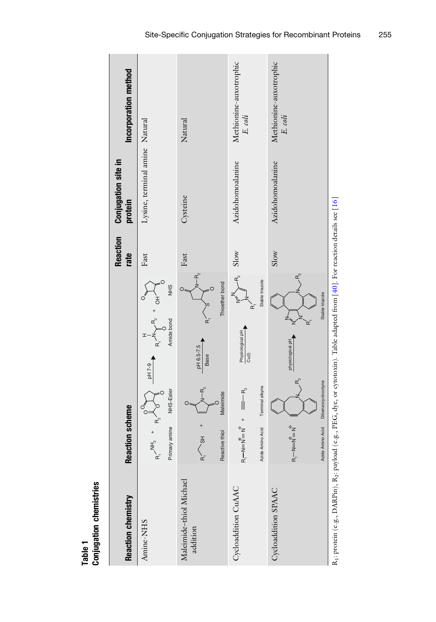**Conjugation chemistries** Conjugation chemistries Table 1

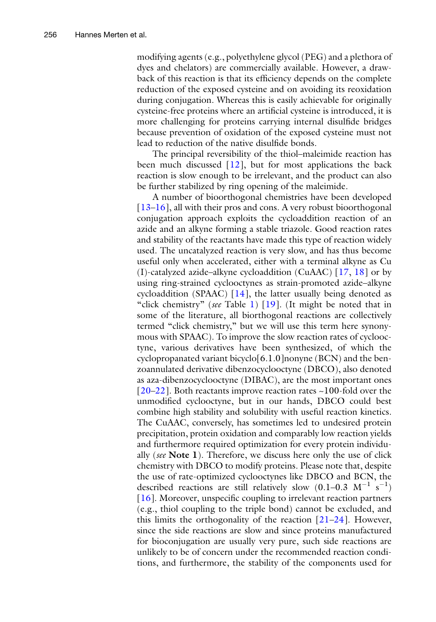modifying agents (e.g., polyethylene glycol (PEG) and a plethora of dyes and chelators) are commercially available. However, a drawback of this reaction is that its efficiency depends on the complete reduction of the exposed cysteine and on avoiding its reoxidation during conjugation. Whereas this is easily achievable for originally cysteine-free proteins where an artificial cysteine is introduced, it is more challenging for proteins carrying internal disulfide bridges because prevention of oxidation of the exposed cysteine must not lead to reduction of the native disulfide bonds.

The principal reversibility of the thiol–maleimide reaction has been much discussed  $[12]$ , but for most applications the back reaction is slow enough to be irrelevant, and the product can also be further stabilized by ring opening of the maleimide.

A number of bioorthogonal chemistries have been developed [13–16], all with their pros and cons. A very robust bioorthogonal conjugation approach exploits the cycloaddition reaction of an azide and an alkyne forming a stable triazole. Good reaction rates and stability of the reactants have made this type of reaction widely used. The uncatalyzed reaction is very slow, and has thus become useful only when accelerated, either with a terminal alkyne as Cu (I)-catalyzed azide–alkyne cycloaddition (CuAAC)  $[17, 18]$  or by using ring-strained cyclooctynes as strain-promoted azide–alkyne cycloaddition (SPAAC) [14], the latter usually being denoted as "click chemistry" (see Table 1)  $[19]$ . (It might be noted that in some of the literature, all biorthogonal reactions are collectively termed "click chemistry," but we will use this term here synonymous with SPAAC). To improve the slow reaction rates of cyclooctyne, various derivatives have been synthesized, of which the cyclopropanated variant bicyclo[6.1.0]nonyne (BCN) and the benzoannulated derivative dibenzocyclooctyne (DBCO), also denoted as aza-dibenzocyclooctyne (DIBAC), are the most important ones [20–22]. Both reactants improve reaction rates ~100-fold over the unmodified cyclooctyne, but in our hands, DBCO could best combine high stability and solubility with useful reaction kinetics. The CuAAC, conversely, has sometimes led to undesired protein precipitation, protein oxidation and comparably low reaction yields and furthermore required optimization for every protein individually (see Note 1). Therefore, we discuss here only the use of click chemistry with DBCO to modify proteins. Please note that, despite the use of rate-optimized cyclooctynes like DBCO and BCN, the described reactions are still relatively slow  $(0.1-0.3 \text{ M}^{-1} \text{ s}^{-1})$ [16]. Moreover, unspecific coupling to irrelevant reaction partners (e.g., thiol coupling to the triple bond) cannot be excluded, and this limits the orthogonality of the reaction  $[21-24]$ . However, since the side reactions are slow and since proteins manufactured for bioconjugation are usually very pure, such side reactions are unlikely to be of concern under the recommended reaction conditions, and furthermore, the stability of the components used for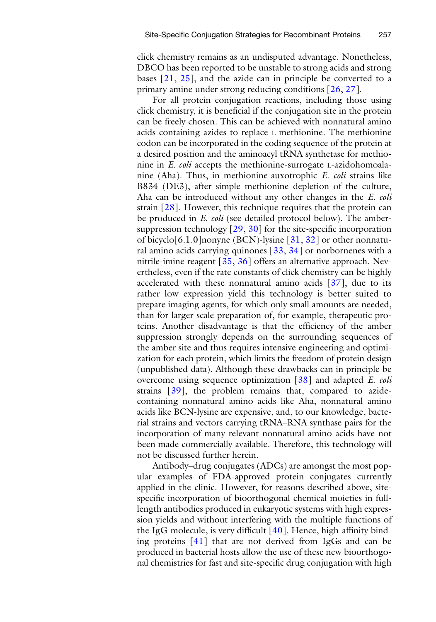click chemistry remains as an undisputed advantage. Nonetheless, DBCO has been reported to be unstable to strong acids and strong bases [21, 25], and the azide can in principle be converted to a primary amine under strong reducing conditions [26, 27].

For all protein conjugation reactions, including those using click chemistry, it is beneficial if the conjugation site in the protein can be freely chosen. This can be achieved with nonnatural amino acids containing azides to replace L-methionine. The methionine codon can be incorporated in the coding sequence of the protein at a desired position and the aminoacyl tRNA synthetase for methionine in E. coli accepts the methionine-surrogate L-azidohomoalanine (Aha). Thus, in methionine-auxotrophic E. coli strains like B834 (DE3), after simple methionine depletion of the culture, Aha can be introduced without any other changes in the E. coli strain [28]. However, this technique requires that the protein can be produced in *E. coli* (see detailed protocol below). The ambersuppression technology [29, 30] for the site-specific incorporation of bicyclo[6.1.0]nonyne (BCN)-lysine [31, 32] or other nonnatural amino acids carrying quinones [33, 34] or norbornenes with a nitrile-imine reagent  $[35, 36]$  offers an alternative approach. Nevertheless, even if the rate constants of click chemistry can be highly accelerated with these nonnatural amino acids  $[37]$ , due to its rather low expression yield this technology is better suited to prepare imaging agents, for which only small amounts are needed, than for larger scale preparation of, for example, therapeutic proteins. Another disadvantage is that the efficiency of the amber suppression strongly depends on the surrounding sequences of the amber site and thus requires intensive engineering and optimization for each protein, which limits the freedom of protein design (unpublished data). Although these drawbacks can in principle be overcome using sequence optimization [38] and adapted *E. coli* strains [39], the problem remains that, compared to azidecontaining nonnatural amino acids like Aha, nonnatural amino acids like BCN-lysine are expensive, and, to our knowledge, bacterial strains and vectors carrying tRNA–RNA synthase pairs for the incorporation of many relevant nonnatural amino acids have not been made commercially available. Therefore, this technology will not be discussed further herein.

Antibody–drug conjugates (ADCs) are amongst the most popular examples of FDA-approved protein conjugates currently applied in the clinic. However, for reasons described above, sitespecific incorporation of bioorthogonal chemical moieties in fulllength antibodies produced in eukaryotic systems with high expression yields and without interfering with the multiple functions of the IgG-molecule, is very difficult [40]. Hence, high-affinity binding proteins [41] that are not derived from IgGs and can be produced in bacterial hosts allow the use of these new bioorthogonal chemistries for fast and site-specific drug conjugation with high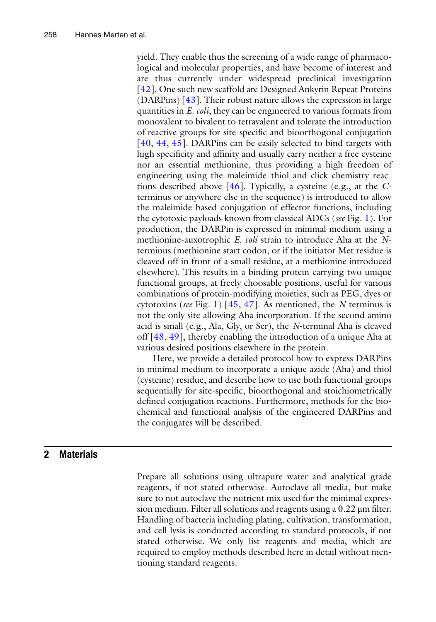yield. They enable thus the screening of a wide range of pharmacological and molecular properties, and have become of interest and are thus currently under widespread preclinical investigation [42]. One such new scaffold are Designed Ankyrin Repeat Proteins  $(DARPins)$  [43]. Their robust nature allows the expression in large quantities in E. coli, they can be engineered to various formats from monovalent to bivalent to tetravalent and tolerate the introduction of reactive groups for site-specific and bioorthogonal conjugation [40, 44, 45]. DARPins can be easily selected to bind targets with high specificity and affinity and usually carry neither a free cysteine nor an essential methionine, thus providing a high freedom of engineering using the maleimide–thiol and click chemistry reactions described above [46]. Typically, a cysteine (e.g., at the Cterminus or anywhere else in the sequence) is introduced to allow the maleimide-based conjugation of effector functions, including the cytotoxic payloads known from classical ADCs (see Fig. 1). For production, the DARPin is expressed in minimal medium using a methionine-auxotrophic E. coli strain to introduce Aha at the Nterminus (methionine start codon, or if the initiator Met residue is cleaved off in front of a small residue, at a methionine introduced elsewhere). This results in a binding protein carrying two unique functional groups, at freely choosable positions, useful for various combinations of protein-modifying moieties, such as PEG, dyes or cytotoxins (see Fig. 1)  $[45, 47]$ . As mentioned, the *N*-terminus is not the only site allowing Aha incorporation. If the second amino acid is small (e.g., Ala, Gly, or Ser), the N-terminal Aha is cleaved off [48, 49], thereby enabling the introduction of a unique Aha at various desired positions elsewhere in the protein.

Here, we provide a detailed protocol how to express DARPins in minimal medium to incorporate a unique azide (Aha) and thiol (cysteine) residue, and describe how to use both functional groups sequentially for site-specific, bioorthogonal and stoichiometrically defined conjugation reactions. Furthermore, methods for the biochemical and functional analysis of the engineered DARPins and the conjugates will be described.

#### 2 Materials

Prepare all solutions using ultrapure water and analytical grade reagents, if not stated otherwise. Autoclave all media, but make sure to not autoclave the nutrient mix used for the minimal expression medium. Filter all solutions and reagents using a 0.22 μm filter. Handling of bacteria including plating, cultivation, transformation, and cell lysis is conducted according to standard protocols, if not stated otherwise. We only list reagents and media, which are required to employ methods described here in detail without mentioning standard reagents.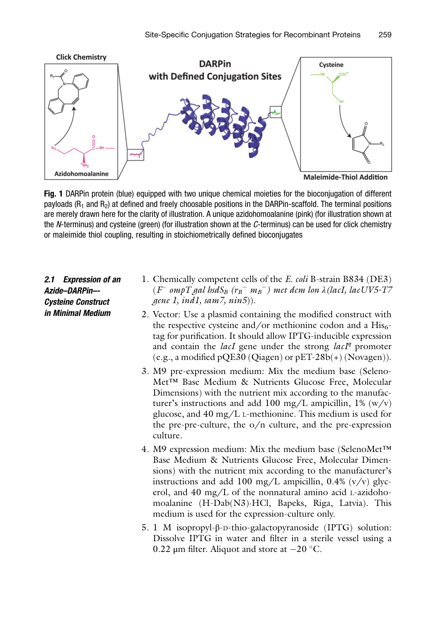

Fig. 1 DARPin protein (blue) equipped with two unique chemical moieties for the bioconjugation of different payloads  $(R_1$  and  $R_2)$  at defined and freely choosable positions in the DARPin-scaffold. The terminal positions are merely drawn here for the clarity of illustration. A unique azidohomoalanine (pink) (for illustration shown at the N-terminus) and cysteine (green) (for illustration shown at the C-terminus) can be used for click chemistry or maleimide thiol coupling, resulting in stoichiometrically defined bioconjugates

#### 2.1 Expression of an Azide–DARPin–- Cysteine Construct in Minimal Medium

- 1. Chemically competent cells of the E. coli B-strain B834 (DE3)  $(F^{-}$  ompT gal hsdS $_{B}$  (r $_{B}^{-}$  m $_{B}^{-}$ ) met dcm lon  $\lambda$ (lacI, lacUV5-T7 gene 1, ind1, sam7, nin5)).
- 2. Vector: Use a plasmid containing the modified construct with the respective cysteine and/or methionine codon and a  $His<sub>6</sub>$ tag for purification. It should allow IPTG-inducible expression and contain the *lacI* gene under the strong  $lacI<sup>q</sup>$  promoter  $(e.g., a modified pQE30 (Qiagen) or pET-28b(+) (Novagen)).$
- 3. M9 pre-expression medium: Mix the medium base (Seleno-Met™ Base Medium & Nutrients Glucose Free, Molecular Dimensions) with the nutrient mix according to the manufacturer's instructions and add 100 mg/L ampicillin,  $1\%$  (w/v) glucose, and 40 mg/L L-methionine. This medium is used for the pre-pre-culture, the o/n culture, and the pre-expression culture.
- 4. M9 expression medium: Mix the medium base (SelenoMet™ Base Medium & Nutrients Glucose Free, Molecular Dimensions) with the nutrient mix according to the manufacturer's instructions and add 100 mg/L ampicillin,  $0.4\%$  (v/v) glycerol, and 40 mg/L of the nonnatural amino acid L-azidohomoalanine (H-Dab(N3)·HCl, Bapeks, Riga, Latvia). This medium is used for the expression-culture only.
- 5. 1 M isopropyl-β-D-thio-galactopyranoside (IPTG) solution: Dissolve IPTG in water and filter in a sterile vessel using a 0.22  $\mu$ m filter. Aliquot and store at  $-20$  °C.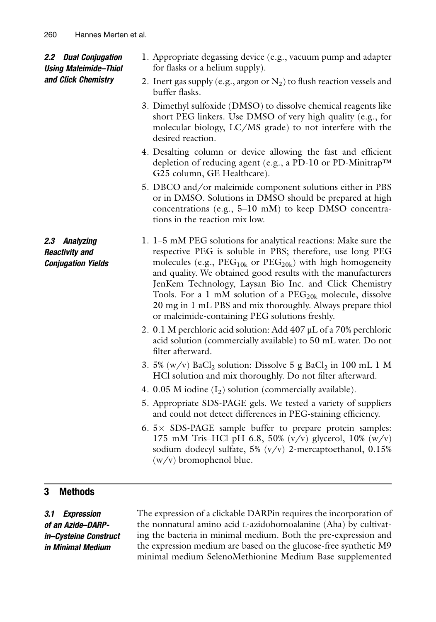#### 2.2 Dual Conjugation Using Maleimide–Thiol and Click Chemistry

2.3 Analyzing Reactivity and Conjugation Yields

- 1. Appropriate degassing device (e.g., vacuum pump and adapter for flasks or a helium supply).
- 2. Inert gas supply (e.g., argon or  $N_2$ ) to flush reaction vessels and buffer flasks.
- 3. Dimethyl sulfoxide (DMSO) to dissolve chemical reagents like short PEG linkers. Use DMSO of very high quality (e.g., for molecular biology, LC/MS grade) to not interfere with the desired reaction.
- 4. Desalting column or device allowing the fast and efficient depletion of reducing agent (e.g., a PD-10 or PD-Minitrap™ G25 column, GE Healthcare).
- 5. DBCO and/or maleimide component solutions either in PBS or in DMSO. Solutions in DMSO should be prepared at high concentrations (e.g., 5–10 mM) to keep DMSO concentrations in the reaction mix low.
- 1. 1–5 mM PEG solutions for analytical reactions: Make sure the respective PEG is soluble in PBS; therefore, use long PEG molecules (e.g.,  $PEG_{10k}$  or  $PEG_{20k}$ ) with high homogeneity and quality. We obtained good results with the manufacturers JenKem Technology, Laysan Bio Inc. and Click Chemistry Tools. For a 1 mM solution of a  $PEG_{20k}$  molecule, dissolve 20 mg in 1 mL PBS and mix thoroughly. Always prepare thiol or maleimide-containing PEG solutions freshly.
	- 2. 0.1 M perchloric acid solution: Add 407 μL of a 70% perchloric acid solution (commercially available) to 50 mL water. Do not filter afterward.
	- 3. 5% (w/v) BaCl<sub>2</sub> solution: Dissolve 5 g BaCl<sub>2</sub> in 100 mL 1 M HCl solution and mix thoroughly. Do not filter afterward.
	- 4. 0.05 M iodine  $(I_2)$  solution (commercially available).
	- 5. Appropriate SDS-PAGE gels. We tested a variety of suppliers and could not detect differences in PEG-staining efficiency.
	- 6.  $5 \times$  SDS-PAGE sample buffer to prepare protein samples: 175 mM Tris–HCl pH 6.8, 50%  $(v/v)$  glycerol, 10%  $(w/v)$ sodium dodecyl sulfate, 5% (v/v) 2-mercaptoethanol, 0.15% (w/v) bromophenol blue.

### 3 Methods

3.1 Expression of an Azide–DARPin–Cysteine Construct in Minimal Medium

The expression of a clickable DARPin requires the incorporation of the nonnatural amino acid L-azidohomoalanine (Aha) by cultivating the bacteria in minimal medium. Both the pre-expression and the expression medium are based on the glucose-free synthetic M9 minimal medium SelenoMethionine Medium Base supplemented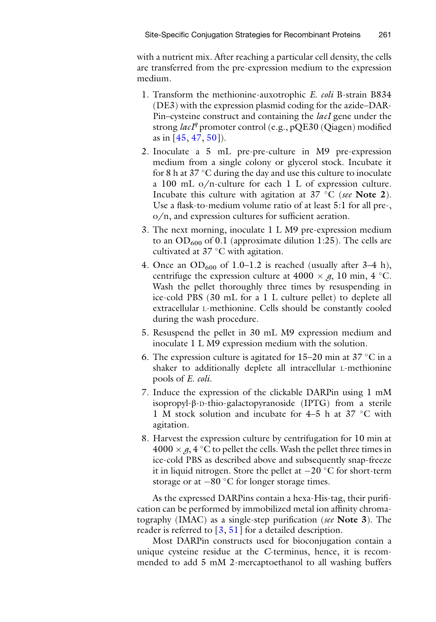with a nutrient mix. After reaching a particular cell density, the cells are transferred from the pre-expression medium to the expression medium.

- 1. Transform the methionine-auxotrophic E. coli B-strain B834 (DE3) with the expression plasmid coding for the azide–DAR-Pin–cysteine construct and containing the *lacI* gene under the strong  $la\ell^q$  promoter control (e.g., pQE30 (Qiagen) modified as in [45, 47, 50]).
- 2. Inoculate a 5 mL pre-pre-culture in M9 pre-expression medium from a single colony or glycerol stock. Incubate it for 8 h at 37 $\degree$ C during the day and use this culture to inoculate a 100 mL o/n-culture for each 1 L of expression culture. Incubate this culture with agitation at  $37 °C$  (see Note 2). Use a flask-to-medium volume ratio of at least 5:1 for all pre-, o/n, and expression cultures for sufficient aeration.
- 3. The next morning, inoculate 1 L M9 pre-expression medium to an  $OD_{600}$  of 0.1 (approximate dilution 1:25). The cells are cultivated at  $37^{\circ}$ C with agitation.
- 4. Once an OD<sub>600</sub> of 1.0–1.2 is reached (usually after  $3-4$  h), centrifuge the expression culture at  $4000 \times g$ , 10 min, 4 °C. Wash the pellet thoroughly three times by resuspending in ice-cold PBS (30 mL for a 1 L culture pellet) to deplete all extracellular L-methionine. Cells should be constantly cooled during the wash procedure.
- 5. Resuspend the pellet in 30 mL M9 expression medium and inoculate 1 L M9 expression medium with the solution.
- 6. The expression culture is agitated for  $15-20$  min at  $37 \degree$ C in a shaker to additionally deplete all intracellular L-methionine pools of E. coli.
- 7. Induce the expression of the clickable DARPin using 1 mM isopropyl-β-D-thio-galactopyranoside (IPTG) from a sterile 1 M stock solution and incubate for  $4-5$  h at 37 °C with agitation.
- 8. Harvest the expression culture by centrifugation for 10 min at  $4000 \times g$ ,  $4^{\circ}$ C to pellet the cells. Wash the pellet three times in ice-cold PBS as described above and subsequently snap-freeze it in liquid nitrogen. Store the pellet at  $-20$  °C for short-term storage or at  $-80$  °C for longer storage times.

As the expressed DARPins contain a hexa-His-tag, their purification can be performed by immobilized metal ion affinity chromatography (IMAC) as a single-step purification (see Note 3). The reader is referred to  $\left[3, 51\right]$  for a detailed description.

Most DARPin constructs used for bioconjugation contain a unique cysteine residue at the C-terminus, hence, it is recommended to add 5 mM 2-mercaptoethanol to all washing buffers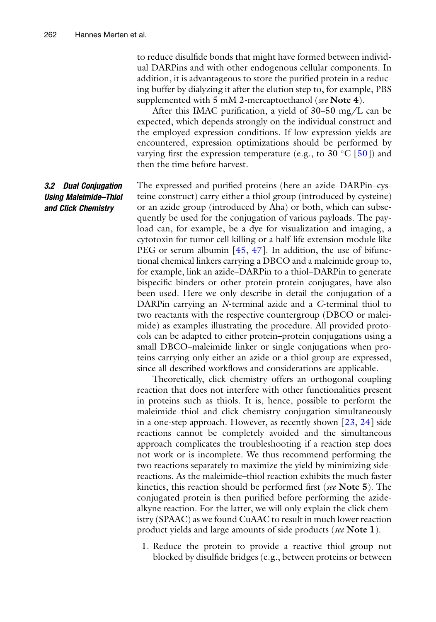to reduce disulfide bonds that might have formed between individual DARPins and with other endogenous cellular components. In addition, it is advantageous to store the purified protein in a reducing buffer by dialyzing it after the elution step to, for example, PBS supplemented with 5 mM 2-mercaptoethanol (see Note 4).

After this IMAC purification, a yield of 30–50 mg/L can be expected, which depends strongly on the individual construct and the employed expression conditions. If low expression yields are encountered, expression optimizations should be performed by varying first the expression temperature (e.g., to 30  $^{\circ}$ C [50]) and then the time before harvest.

The expressed and purified proteins (here an azide–DARPin–cysteine construct) carry either a thiol group (introduced by cysteine) or an azide group (introduced by Aha) or both, which can subsequently be used for the conjugation of various payloads. The payload can, for example, be a dye for visualization and imaging, a cytotoxin for tumor cell killing or a half-life extension module like PEG or serum albumin  $[45, 47]$ . In addition, the use of bifunctional chemical linkers carrying a DBCO and a maleimide group to, for example, link an azide–DARPin to a thiol–DARPin to generate bispecific binders or other protein-protein conjugates, have also been used. Here we only describe in detail the conjugation of a DARPin carrying an *N*-terminal azide and a *C*-terminal thiol to two reactants with the respective countergroup (DBCO or maleimide) as examples illustrating the procedure. All provided protocols can be adapted to either protein–protein conjugations using a small DBCO–maleimide linker or single conjugations when proteins carrying only either an azide or a thiol group are expressed, since all described workflows and considerations are applicable.

Theoretically, click chemistry offers an orthogonal coupling reaction that does not interfere with other functionalities present in proteins such as thiols. It is, hence, possible to perform the maleimide–thiol and click chemistry conjugation simultaneously in a one-step approach. However, as recently shown [23, 24] side reactions cannot be completely avoided and the simultaneous approach complicates the troubleshooting if a reaction step does not work or is incomplete. We thus recommend performing the two reactions separately to maximize the yield by minimizing sidereactions. As the maleimide–thiol reaction exhibits the much faster kinetics, this reaction should be performed first (see Note 5). The conjugated protein is then purified before performing the azidealkyne reaction. For the latter, we will only explain the click chemistry (SPAAC) as we found CuAAC to result in much lower reaction product yields and large amounts of side products (see Note 1).

1. Reduce the protein to provide a reactive thiol group not blocked by disulfide bridges (e.g., between proteins or between

#### 3.2 Dual Conjugation Using Maleimide–Thiol and Click Chemistry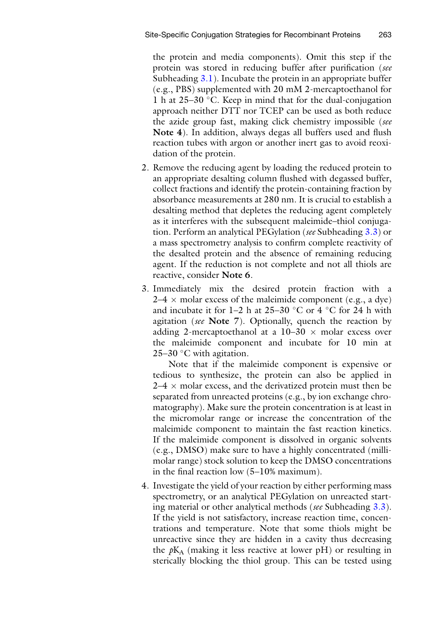the protein and media components). Omit this step if the protein was stored in reducing buffer after purification (see Subheading 3.1). Incubate the protein in an appropriate buffer (e.g., PBS) supplemented with 20 mM 2-mercaptoethanol for 1 h at  $25-30$  °C. Keep in mind that for the dual-conjugation approach neither DTT nor TCEP can be used as both reduce the azide group fast, making click chemistry impossible (see Note 4). In addition, always degas all buffers used and flush reaction tubes with argon or another inert gas to avoid reoxidation of the protein.

- 2. Remove the reducing agent by loading the reduced protein to an appropriate desalting column flushed with degassed buffer, collect fractions and identify the protein-containing fraction by absorbance measurements at 280 nm. It is crucial to establish a desalting method that depletes the reducing agent completely as it interferes with the subsequent maleimide–thiol conjugation. Perform an analytical PEGylation (see Subheading 3.3) or a mass spectrometry analysis to confirm complete reactivity of the desalted protein and the absence of remaining reducing agent. If the reduction is not complete and not all thiols are reactive, consider Note 6.
- 3. Immediately mix the desired protein fraction with a  $2-4 \times$  molar excess of the maleimide component (e.g., a dye) and incubate it for 1–2 h at 25–30 °C or 4 °C for 24 h with agitation (see Note 7). Optionally, quench the reaction by adding 2-mercaptoethanol at a  $10-30 \times$  molar excess over the maleimide component and incubate for 10 min at 25–30 $\degree$ C with agitation.

Note that if the maleimide component is expensive or tedious to synthesize, the protein can also be applied in  $2-4 \times$  molar excess, and the derivatized protein must then be separated from unreacted proteins (e.g., by ion exchange chromatography). Make sure the protein concentration is at least in the micromolar range or increase the concentration of the maleimide component to maintain the fast reaction kinetics. If the maleimide component is dissolved in organic solvents (e.g., DMSO) make sure to have a highly concentrated (millimolar range) stock solution to keep the DMSO concentrations in the final reaction low (5–10% maximum).

4. Investigate the yield of your reaction by either performing mass spectrometry, or an analytical PEGylation on unreacted starting material or other analytical methods (see Subheading 3.3). If the yield is not satisfactory, increase reaction time, concentrations and temperature. Note that some thiols might be unreactive since they are hidden in a cavity thus decreasing the  $pK_A$  (making it less reactive at lower  $pH$ ) or resulting in sterically blocking the thiol group. This can be tested using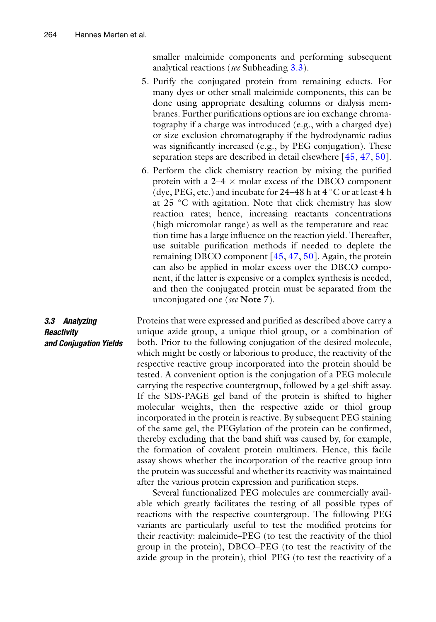**Reactivity** 

smaller maleimide components and performing subsequent analytical reactions (see Subheading 3.3).

- 5. Purify the conjugated protein from remaining educts. For many dyes or other small maleimide components, this can be done using appropriate desalting columns or dialysis membranes. Further purifications options are ion exchange chromatography if a charge was introduced (e.g., with a charged dye) or size exclusion chromatography if the hydrodynamic radius was significantly increased (e.g., by PEG conjugation). These separation steps are described in detail elsewhere [45, 47, 50].
- 6. Perform the click chemistry reaction by mixing the purified protein with a  $2-4 \times$  molar excess of the DBCO component (dye, PEG, etc.) and incubate for  $24-48$  h at  $4^{\circ}$ C or at least 4 h at  $25 \text{ °C}$  with agitation. Note that click chemistry has slow reaction rates; hence, increasing reactants concentrations (high micromolar range) as well as the temperature and reaction time has a large influence on the reaction yield. Thereafter, use suitable purification methods if needed to deplete the remaining DBCO component [45, 47, 50]. Again, the protein can also be applied in molar excess over the DBCO component, if the latter is expensive or a complex synthesis is needed, and then the conjugated protein must be separated from the unconjugated one (see Note 7).

3.3 Analyzing and Conjugation Yields Proteins that were expressed and purified as described above carry a unique azide group, a unique thiol group, or a combination of both. Prior to the following conjugation of the desired molecule, which might be costly or laborious to produce, the reactivity of the respective reactive group incorporated into the protein should be tested. A convenient option is the conjugation of a PEG molecule carrying the respective countergroup, followed by a gel-shift assay. If the SDS-PAGE gel band of the protein is shifted to higher molecular weights, then the respective azide or thiol group incorporated in the protein is reactive. By subsequent PEG staining of the same gel, the PEGylation of the protein can be confirmed, thereby excluding that the band shift was caused by, for example, the formation of covalent protein multimers. Hence, this facile assay shows whether the incorporation of the reactive group into the protein was successful and whether its reactivity was maintained after the various protein expression and purification steps.

> Several functionalized PEG molecules are commercially available which greatly facilitates the testing of all possible types of reactions with the respective countergroup. The following PEG variants are particularly useful to test the modified proteins for their reactivity: maleimide–PEG (to test the reactivity of the thiol group in the protein), DBCO–PEG (to test the reactivity of the azide group in the protein), thiol–PEG (to test the reactivity of a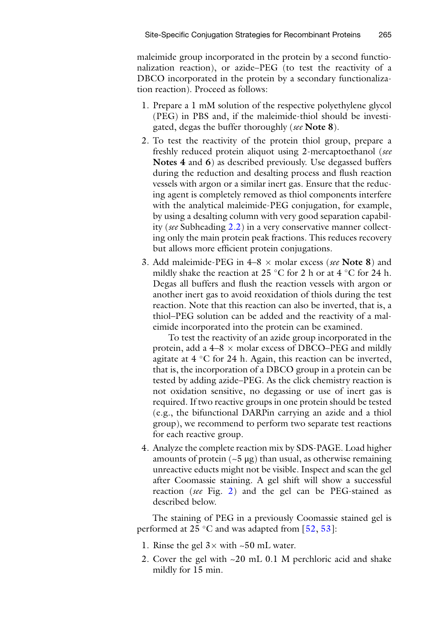maleimide group incorporated in the protein by a second functionalization reaction), or azide–PEG (to test the reactivity of a DBCO incorporated in the protein by a secondary functionalization reaction). Proceed as follows:

- 1. Prepare a 1 mM solution of the respective polyethylene glycol (PEG) in PBS and, if the maleimide-thiol should be investigated, degas the buffer thoroughly (see Note 8).
- 2. To test the reactivity of the protein thiol group, prepare a freshly reduced protein aliquot using 2-mercaptoethanol (see Notes 4 and 6) as described previously. Use degassed buffers during the reduction and desalting process and flush reaction vessels with argon or a similar inert gas. Ensure that the reducing agent is completely removed as thiol components interfere with the analytical maleimide-PEG conjugation, for example, by using a desalting column with very good separation capability (see Subheading 2.2) in a very conservative manner collecting only the main protein peak fractions. This reduces recovery but allows more efficient protein conjugations.
- 3. Add maleimide-PEG in  $4-8 \times$  molar excess (see Note 8) and mildly shake the reaction at 25  $\degree$ C for 2 h or at 4  $\degree$ C for 24 h. Degas all buffers and flush the reaction vessels with argon or another inert gas to avoid reoxidation of thiols during the test reaction. Note that this reaction can also be inverted, that is, a thiol–PEG solution can be added and the reactivity of a maleimide incorporated into the protein can be examined.

To test the reactivity of an azide group incorporated in the protein, add a  $4-8 \times$  molar excess of DBCO–PEG and mildly agitate at  $4 \degree C$  for 24 h. Again, this reaction can be inverted, that is, the incorporation of a DBCO group in a protein can be tested by adding azide–PEG. As the click chemistry reaction is not oxidation sensitive, no degassing or use of inert gas is required. If two reactive groups in one protein should be tested (e.g., the bifunctional DARPin carrying an azide and a thiol group), we recommend to perform two separate test reactions for each reactive group.

4. Analyze the complete reaction mix by SDS-PAGE. Load higher amounts of protein  $(-5 \mu g)$  than usual, as otherwise remaining unreactive educts might not be visible. Inspect and scan the gel after Coomassie staining. A gel shift will show a successful reaction (see Fig. 2) and the gel can be PEG-stained as described below.

The staining of PEG in a previously Coomassie stained gel is performed at 25  $^{\circ}$ C and was adapted from [52, 53]:

- 1. Rinse the gel  $3 \times$  with  $\sim 50$  mL water.
- 2. Cover the gel with ~20 mL 0.1 M perchloric acid and shake mildly for 15 min.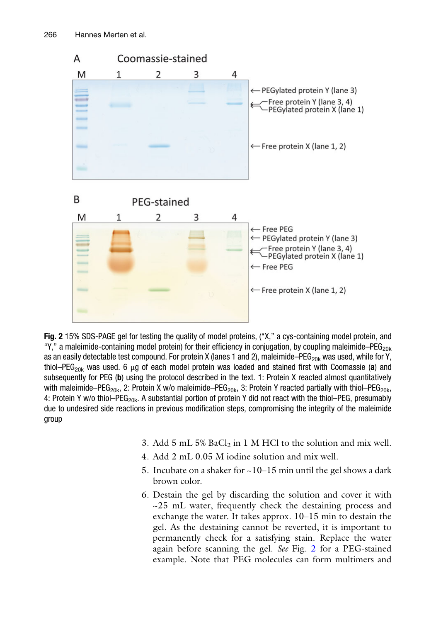

Fig. 2 15% SDS-PAGE gel for testing the quality of model proteins, ("X," a cys-containing model protein, and "Y," a maleimide-containing model protein) for their efficiency in conjugation, by coupling maleimide–PEG<sub>20k</sub> as an easily detectable test compound. For protein X (lanes 1 and 2), maleimide–PEG<sub>20k</sub> was used, while for Y, thiol–PEG<sub>20k</sub> was used. 6 µg of each model protein was loaded and stained first with Coomassie (a) and subsequently for PEG (b) using the protocol described in the text. 1: Protein X reacted almost quantitatively with maleimide–PEG<sub>20k</sub>, 2: Protein X w/o maleimide–PEG<sub>20k</sub>, 3: Protein Y reacted partially with thiol–PEG<sub>20k</sub>, 4: Protein Y w/o thiol–PEG<sub>20k</sub>. A substantial portion of protein Y did not react with the thiol–PEG, presumably due to undesired side reactions in previous modification steps, compromising the integrity of the maleimide group

- 3. Add 5 mL  $5\%$  BaCl<sub>2</sub> in 1 M HCl to the solution and mix well.
- 4. Add 2 mL 0.05 M iodine solution and mix well.
- 5. Incubate on a shaker for ~10–15 min until the gel shows a dark brown color.
- 6. Destain the gel by discarding the solution and cover it with ~25 mL water, frequently check the destaining process and exchange the water. It takes approx. 10–15 min to destain the gel. As the destaining cannot be reverted, it is important to permanently check for a satisfying stain. Replace the water again before scanning the gel. See Fig. 2 for a PEG-stained example. Note that PEG molecules can form multimers and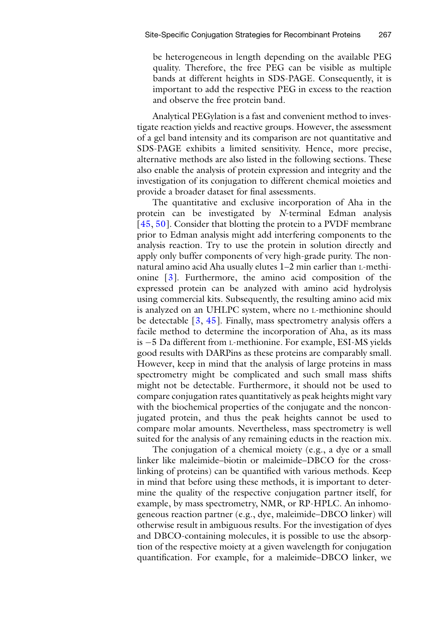be heterogeneous in length depending on the available PEG quality. Therefore, the free PEG can be visible as multiple bands at different heights in SDS-PAGE. Consequently, it is important to add the respective PEG in excess to the reaction and observe the free protein band.

Analytical PEGylation is a fast and convenient method to investigate reaction yields and reactive groups. However, the assessment of a gel band intensity and its comparison are not quantitative and SDS-PAGE exhibits a limited sensitivity. Hence, more precise, alternative methods are also listed in the following sections. These also enable the analysis of protein expression and integrity and the investigation of its conjugation to different chemical moieties and provide a broader dataset for final assessments.

The quantitative and exclusive incorporation of Aha in the protein can be investigated by N-terminal Edman analysis [45, 50]. Consider that blotting the protein to a PVDF membrane prior to Edman analysis might add interfering components to the analysis reaction. Try to use the protein in solution directly and apply only buffer components of very high-grade purity. The nonnatural amino acid Aha usually elutes 1–2 min earlier than L-methionine  $\lceil 3 \rceil$ . Furthermore, the amino acid composition of the expressed protein can be analyzed with amino acid hydrolysis using commercial kits. Subsequently, the resulting amino acid mix is analyzed on an UHLPC system, where no L-methionine should be detectable  $[3, 45]$ . Finally, mass spectrometry analysis offers a facile method to determine the incorporation of Aha, as its mass is  $-5$  Da different from L-methionine. For example, ESI-MS yields good results with DARPins as these proteins are comparably small. However, keep in mind that the analysis of large proteins in mass spectrometry might be complicated and such small mass shifts might not be detectable. Furthermore, it should not be used to compare conjugation rates quantitatively as peak heights might vary with the biochemical properties of the conjugate and the nonconjugated protein, and thus the peak heights cannot be used to compare molar amounts. Nevertheless, mass spectrometry is well suited for the analysis of any remaining educts in the reaction mix.

The conjugation of a chemical moiety (e.g., a dye or a small linker like maleimide–biotin or maleimide–DBCO for the crosslinking of proteins) can be quantified with various methods. Keep in mind that before using these methods, it is important to determine the quality of the respective conjugation partner itself, for example, by mass spectrometry, NMR, or RP-HPLC. An inhomogeneous reaction partner (e.g., dye, maleimide–DBCO linker) will otherwise result in ambiguous results. For the investigation of dyes and DBCO-containing molecules, it is possible to use the absorption of the respective moiety at a given wavelength for conjugation quantification. For example, for a maleimide–DBCO linker, we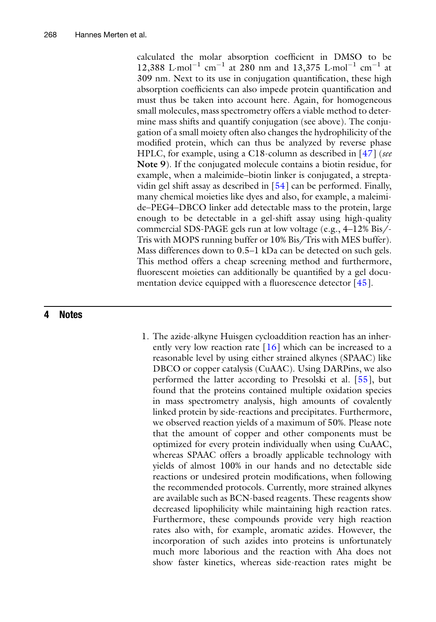calculated the molar absorption coefficient in DMSO to be 12,388 L·mol<sup>-1</sup> cm<sup>-1</sup> at 280 nm and 13,375 L·mol<sup>-1</sup> cm<sup>-1</sup> at 309 nm. Next to its use in conjugation quantification, these high absorption coefficients can also impede protein quantification and must thus be taken into account here. Again, for homogeneous small molecules, mass spectrometry offers a viable method to determine mass shifts and quantify conjugation (see above). The conjugation of a small moiety often also changes the hydrophilicity of the modified protein, which can thus be analyzed by reverse phase HPLC, for example, using a C18-column as described in [47] (see Note 9). If the conjugated molecule contains a biotin residue, for example, when a maleimide–biotin linker is conjugated, a streptavidin gel shift assay as described in [54] can be performed. Finally, many chemical moieties like dyes and also, for example, a maleimide–PEG4–DBCO linker add detectable mass to the protein, large enough to be detectable in a gel-shift assay using high-quality commercial SDS-PAGE gels run at low voltage (e.g., 4–12% Bis/- Tris with MOPS running buffer or 10% Bis/Tris with MES buffer). Mass differences down to 0.5–1 kDa can be detected on such gels. This method offers a cheap screening method and furthermore, fluorescent moieties can additionally be quantified by a gel documentation device equipped with a fluorescence detector [45].

#### 4 Notes

1. The azide-alkyne Huisgen cycloaddition reaction has an inherently very low reaction rate  $[16]$  which can be increased to a reasonable level by using either strained alkynes (SPAAC) like DBCO or copper catalysis (CuAAC). Using DARPins, we also performed the latter according to Presolski et al. [55], but found that the proteins contained multiple oxidation species in mass spectrometry analysis, high amounts of covalently linked protein by side-reactions and precipitates. Furthermore, we observed reaction yields of a maximum of 50%. Please note that the amount of copper and other components must be optimized for every protein individually when using CuAAC, whereas SPAAC offers a broadly applicable technology with yields of almost 100% in our hands and no detectable side reactions or undesired protein modifications, when following the recommended protocols. Currently, more strained alkynes are available such as BCN-based reagents. These reagents show decreased lipophilicity while maintaining high reaction rates. Furthermore, these compounds provide very high reaction rates also with, for example, aromatic azides. However, the incorporation of such azides into proteins is unfortunately much more laborious and the reaction with Aha does not show faster kinetics, whereas side-reaction rates might be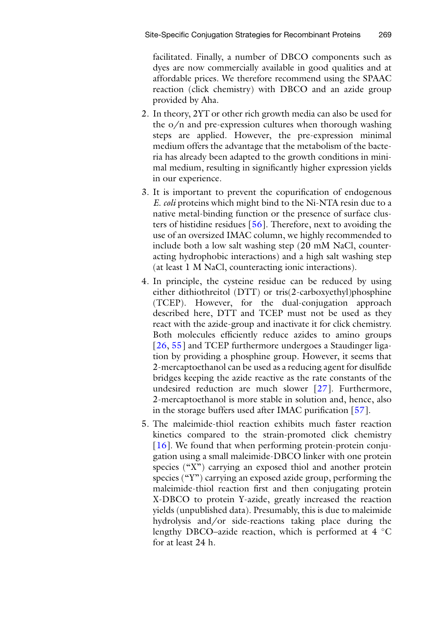facilitated. Finally, a number of DBCO components such as dyes are now commercially available in good qualities and at affordable prices. We therefore recommend using the SPAAC reaction (click chemistry) with DBCO and an azide group provided by Aha.

- 2. In theory, 2YT or other rich growth media can also be used for the o/n and pre-expression cultures when thorough washing steps are applied. However, the pre-expression minimal medium offers the advantage that the metabolism of the bacteria has already been adapted to the growth conditions in minimal medium, resulting in significantly higher expression yields in our experience.
- 3. It is important to prevent the copurification of endogenous E. coli proteins which might bind to the Ni-NTA resin due to a native metal-binding function or the presence of surface clusters of histidine residues [56]. Therefore, next to avoiding the use of an oversized IMAC column, we highly recommended to include both a low salt washing step (20 mM NaCl, counteracting hydrophobic interactions) and a high salt washing step (at least 1 M NaCl, counteracting ionic interactions).
- 4. In principle, the cysteine residue can be reduced by using either dithiothreitol (DTT) or tris(2-carboxyethyl)phosphine (TCEP). However, for the dual-conjugation approach described here, DTT and TCEP must not be used as they react with the azide-group and inactivate it for click chemistry. Both molecules efficiently reduce azides to amino groups [26, 55] and TCEP furthermore undergoes a Staudinger ligation by providing a phosphine group. However, it seems that 2-mercaptoethanol can be used as a reducing agent for disulfide bridges keeping the azide reactive as the rate constants of the undesired reduction are much slower [27]. Furthermore, 2-mercaptoethanol is more stable in solution and, hence, also in the storage buffers used after IMAC purification [57].
- 5. The maleimide-thiol reaction exhibits much faster reaction kinetics compared to the strain-promoted click chemistry [16]. We found that when performing protein-protein conjugation using a small maleimide-DBCO linker with one protein species ("X") carrying an exposed thiol and another protein species ("Y") carrying an exposed azide group, performing the maleimide-thiol reaction first and then conjugating protein X-DBCO to protein Y-azide, greatly increased the reaction yields (unpublished data). Presumably, this is due to maleimide hydrolysis and/or side-reactions taking place during the lengthy DBCO–azide reaction, which is performed at  $4 °C$ for at least 24 h.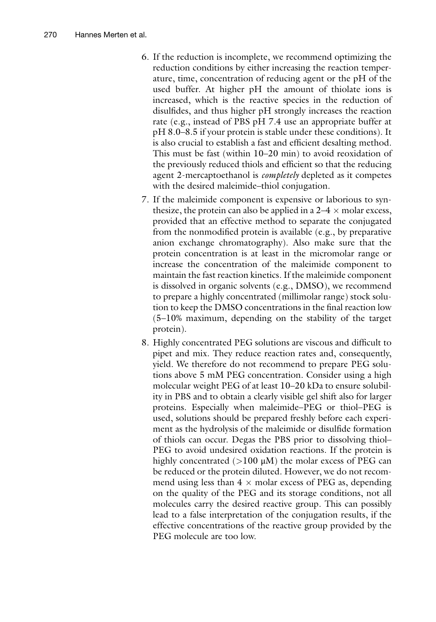- 6. If the reduction is incomplete, we recommend optimizing the reduction conditions by either increasing the reaction temperature, time, concentration of reducing agent or the pH of the used buffer. At higher pH the amount of thiolate ions is increased, which is the reactive species in the reduction of disulfides, and thus higher pH strongly increases the reaction rate (e.g., instead of PBS pH 7.4 use an appropriate buffer at pH 8.0–8.5 if your protein is stable under these conditions). It is also crucial to establish a fast and efficient desalting method. This must be fast (within 10–20 min) to avoid reoxidation of the previously reduced thiols and efficient so that the reducing agent 2-mercaptoethanol is *completely* depleted as it competes with the desired maleimide–thiol conjugation.
- 7. If the maleimide component is expensive or laborious to synthesize, the protein can also be applied in a  $2-4 \times$  molar excess, provided that an effective method to separate the conjugated from the nonmodified protein is available (e.g., by preparative anion exchange chromatography). Also make sure that the protein concentration is at least in the micromolar range or increase the concentration of the maleimide component to maintain the fast reaction kinetics. If the maleimide component is dissolved in organic solvents (e.g., DMSO), we recommend to prepare a highly concentrated (millimolar range) stock solution to keep the DMSO concentrations in the final reaction low (5–10% maximum, depending on the stability of the target protein).
- 8. Highly concentrated PEG solutions are viscous and difficult to pipet and mix. They reduce reaction rates and, consequently, yield. We therefore do not recommend to prepare PEG solutions above 5 mM PEG concentration. Consider using a high molecular weight PEG of at least 10–20 kDa to ensure solubility in PBS and to obtain a clearly visible gel shift also for larger proteins. Especially when maleimide–PEG or thiol–PEG is used, solutions should be prepared freshly before each experiment as the hydrolysis of the maleimide or disulfide formation of thiols can occur. Degas the PBS prior to dissolving thiol– PEG to avoid undesired oxidation reactions. If the protein is highly concentrated ( $>100 \mu$ M) the molar excess of PEG can be reduced or the protein diluted. However, we do not recommend using less than  $4 \times$  molar excess of PEG as, depending on the quality of the PEG and its storage conditions, not all molecules carry the desired reactive group. This can possibly lead to a false interpretation of the conjugation results, if the effective concentrations of the reactive group provided by the PEG molecule are too low.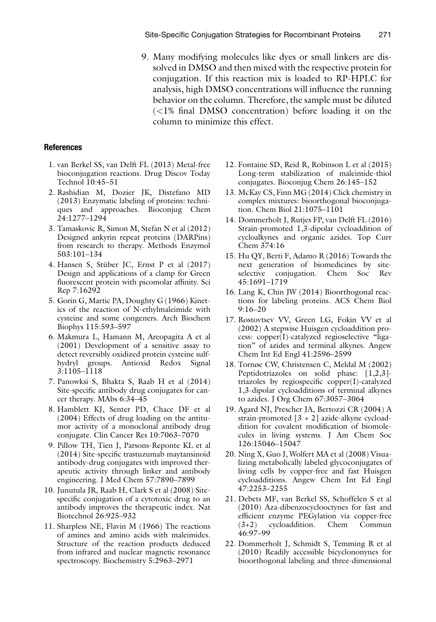9. Many modifying molecules like dyes or small linkers are dissolved in DMSO and then mixed with the respective protein for conjugation. If this reaction mix is loaded to RP-HPLC for analysis, high DMSO concentrations will influence the running behavior on the column. Therefore, the sample must be diluted (<1% final DMSO concentration) before loading it on the column to minimize this effect.

#### References

- 1. van Berkel SS, van Delft FL (2013) Metal-free bioconjugation reactions. Drug Discov Today Technol 10:45–51
- 2. Rashidian M, Dozier JK, Distefano MD (2013) Enzymatic labeling of proteins: techniques and approaches. Bioconjug Chem 24:1277–1294
- 3. Tamaskovic R, Simon M, Stefan N et al (2012) Designed ankyrin repeat proteins (DARPins) from research to therapy. Methods Enzymol 503:101–134
- 4. Hansen S, Stüber JC, Ernst P et al (2017) Design and applications of a clamp for Green fluorescent protein with picomolar affinity. Sci Rep 7:16292
- 5. Gorin G, Martic PA, Doughty G (1966) Kinetics of the reaction of N-ethylmaleimide with cysteine and some congeners. Arch Biochem Biophys 115:593–597
- 6. Makmura L, Hamann M, Areopagita A et al (2001) Development of a sensitive assay to detect reversibly oxidized protein cysteine sulfhydryl groups. Antioxid Redox Signal 3:1105–1118
- 7. Panowksi S, Bhakta S, Raab H et al (2014) Site-specific antibody drug conjugates for cancer therapy. MAbs 6:34–45
- 8. Hamblett KJ, Senter PD, Chace DF et al (2004) Effects of drug loading on the antitumor activity of a monoclonal antibody drug conjugate. Clin Cancer Res 10:7063–7070
- 9. Pillow TH, Tien J, Parsons-Reponte KL et al (2014) Site-specific trastuzumab maytansinoid antibody-drug conjugates with improved therapeutic activity through linker and antibody engineering. J Med Chem 57:7890–7899
- 10. Junutula JR, Raab H, Clark S et al (2008) Sitespecific conjugation of a cytotoxic drug to an antibody improves the therapeutic index. Nat Biotechnol 26:925–932
- 11. Sharpless NE, Flavin M (1966) The reactions of amines and amino acids with maleimides. Structure of the reaction products deduced from infrared and nuclear magnetic resonance spectroscopy. Biochemistry 5:2963–2971
- 12. Fontaine SD, Reid R, Robinson L et al (2015) Long-term stabilization of maleimide-thiol conjugates. Bioconjug Chem 26:145–152
- 13. McKay CS, Finn MG (2014) Click chemistry in complex mixtures: bioorthogonal bioconjugation. Chem Biol 21:1075–1101
- 14. Dommerholt J, Rutjes FP, van Delft FL (2016) Strain-promoted 1,3-dipolar cycloaddition of cycloalkynes and organic azides. Top Curr Chem 374:16
- 15. Hu QY, Berti F, Adamo R (2016) Towards the next generation of biomedicines by siteselective conjugation. Chem Soc Rev 45:1691–1719
- 16. Lang K, Chin JW (2014) Bioorthogonal reactions for labeling proteins. ACS Chem Biol 9:16–20
- 17. Rostovtsev VV, Green LG, Fokin VV et al (2002) A stepwise Huisgen cycloaddition process: copper(I)-catalyzed regioselective "ligation" of azides and terminal alkynes. Angew Chem Int Ed Engl 41:2596–2599
- 18. Tornøe CW, Christensen C, Meldal M (2002) Peptidotriazoles on solid phase: [1,2,3] triazoles by regiospecific copper(I)-catalyzed 1,3-dipolar cycloadditions of terminal alkynes to azides. J Org Chem 67:3057–3064
- 19. Agard NJ, Prescher JA, Bertozzi CR (2004) A strain-promoted [3 + 2] azide-alkyne cycloaddition for covalent modification of biomolecules in living systems. J Am Chem Soc 126:15046–15047
- 20. Ning X, Guo J, Wolfert MA et al (2008) Visualizing metabolically labeled glycoconjugates of living cells by copper-free and fast Huisgen cycloadditions. Angew Chem Int Ed Engl 47:2253–2255
- 21. Debets MF, van Berkel SS, Schoffelen S et al (2010) Aza-dibenzocyclooctynes for fast and efficient enzyme PEGylation via copper-free (3+2) cycloaddition. Chem Commun 46:97–99
- 22. Dommerholt J, Schmidt S, Temming R et al (2010) Readily accessible bicyclononynes for bioorthogonal labeling and three-dimensional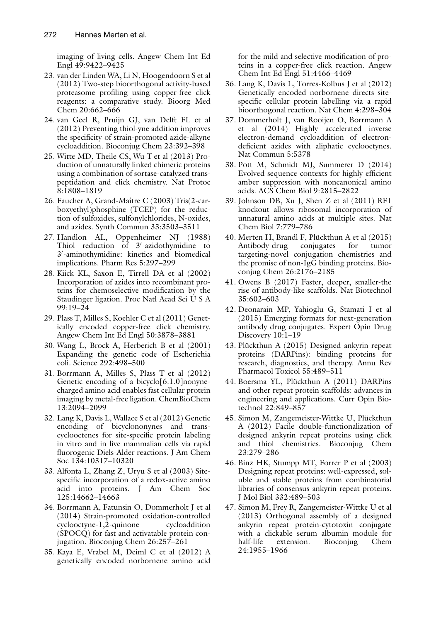imaging of living cells. Angew Chem Int Ed Engl 49:9422–9425

- 23. van der Linden WA, Li N, Hoogendoorn S et al (2012) Two-step bioorthogonal activity-based proteasome profiling using copper-free click reagents: a comparative study. Bioorg Med Chem 20:662–666
- 24. van Geel R, Pruijn GJ, van Delft FL et al (2012) Preventing thiol-yne addition improves the specificity of strain-promoted azide-alkyne cycloaddition. Bioconjug Chem 23:392–398
- 25. Witte MD, Theile CS, Wu T et al (2013) Production of unnaturally linked chimeric proteins using a combination of sortase-catalyzed transpeptidation and click chemistry. Nat Protoc 8:1808–1819
- 26. Faucher A, Grand-Maître C (2003) Tris(2-carboxyethyl)phosphine (TCEP) for the reduction of sulfoxides, sulfonylchlorides, N-oxides, and azides. Synth Commun 33:3503–3511
- 27. Handlon AL, Oppenheimer NJ (1988) Thiol reduction of  $3'$ -azidothymidine to 3'-aminothymidine: kinetics and biomedical implications. Pharm Res 5:297–299
- 28. Kiick KL, Saxon E, Tirrell DA et al (2002) Incorporation of azides into recombinant proteins for chemoselective modification by the Staudinger ligation. Proc Natl Acad Sci U S A 99:19–24
- 29. Plass T, Milles S, Koehler C et al (2011) Genetically encoded copper-free click chemistry. Angew Chem Int Ed Engl 50:3878–3881
- 30. Wang L, Brock A, Herberich B et al (2001) Expanding the genetic code of Escherichia coli. Science 292:498–500
- 31. Borrmann A, Milles S, Plass T et al (2012) Genetic encoding of a bicyclo[6.1.0]nonynecharged amino acid enables fast cellular protein imaging by metal-free ligation. ChemBioChem 13:2094–2099
- 32. Lang K, Davis L, Wallace S et al (2012) Genetic encoding of bicyclononynes and transcyclooctenes for site-specific protein labeling in vitro and in live mammalian cells via rapid fluorogenic Diels-Alder reactions. J Am Chem Soc 134:10317–10320
- 33. Alfonta L, Zhang Z, Uryu S et al (2003) Sitespecific incorporation of a redox-active amino acid into proteins. J Am Chem Soc 125:14662–14663
- 34. Borrmann A, Fatunsin O, Dommerholt J et al (2014) Strain-promoted oxidation-controlled cyclooctyne-1,2-quinone cycloaddition (SPOCQ) for fast and activatable protein conjugation. Bioconjug Chem 26:257-261
- 35. Kaya E, Vrabel M, Deiml C et al (2012) A genetically encoded norbornene amino acid

for the mild and selective modification of proteins in a copper-free click reaction. Angew Chem Int Ed Engl 51:4466–4469

- 36. Lang K, Davis L, Torres-Kolbus J et al (2012) Genetically encoded norbornene directs sitespecific cellular protein labelling via a rapid bioorthogonal reaction. Nat Chem 4:298–304
- 37. Dommerholt J, van Rooijen O, Borrmann A et al (2014) Highly accelerated inverse electron-demand cycloaddition of electrondeficient azides with aliphatic cyclooctynes. Nat Commun 5:5378
- 38. Pott M, Schmidt MJ, Summerer D (2014) Evolved sequence contexts for highly efficient amber suppression with noncanonical amino acids. ACS Chem Biol 9:2815–2822
- 39. Johnson DB, Xu J, Shen Z et al (2011) RF1 knockout allows ribosomal incorporation of unnatural amino acids at multiple sites. Nat Chem Biol 7:779–786
- 40. Merten H, Brandl F, Plückthun A et al (2015) Antibody-drug conjugates for tumor targeting-novel conjugation chemistries and the promise of non-IgG binding proteins. Bioconjug Chem 26:2176–2185
- 41. Owens B (2017) Faster, deeper, smaller-the rise of antibody-like scaffolds. Nat Biotechnol 35:602–603
- 42. Deonarain MP, Yahioglu G, Stamati I et al (2015) Emerging formats for next-generation antibody drug conjugates. Expert Opin Drug Discovery 10:1–19
- 43. Plückthun A (2015) Designed ankyrin repeat proteins (DARPins): binding proteins for research, diagnostics, and therapy. Annu Rev Pharmacol Toxicol 55:489–511
- 44. Boersma YL, Plückthun A (2011) DARPins and other repeat protein scaffolds: advances in engineering and applications. Curr Opin Biotechnol 22:849–857
- 45. Simon M, Zangemeister-Wittke U, Plückthun A (2012) Facile double-functionalization of designed ankyrin repeat proteins using click and thiol chemistries. Bioconjug Chem 23:279–286
- 46. Binz HK, Stumpp MT, Forrer P et al (2003) Designing repeat proteins: well-expressed, soluble and stable proteins from combinatorial libraries of consensus ankyrin repeat proteins. J Mol Biol 332:489–503
- 47. Simon M, Frey R, Zangemeister-Wittke U et al (2013) Orthogonal assembly of a designed ankyrin repeat protein-cytotoxin conjugate with a clickable serum albumin module for<br>half-life extension. Bioconjug Chem Bioconjug Chem 24:1955–1966